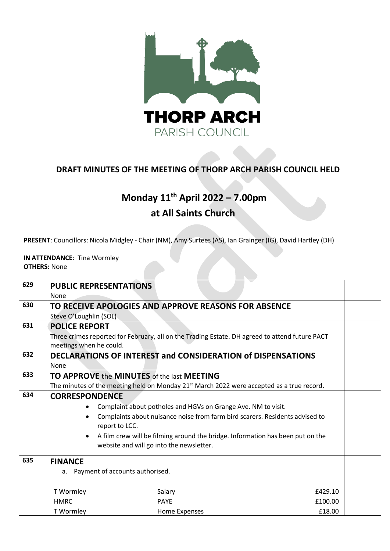

## **DRAFT MINUTES OF THE MEETING OF THORP ARCH PARISH COUNCIL HELD**

# **Monday 11th April 2022 – 7.00pm**

## **at All Saints Church**

**PRESENT**: Councillors: Nicola Midgley - Chair (NM), Amy Surtees (AS), Ian Grainger (IG), David Hartley (DH)

**IN ATTENDANCE**: Tina Wormley **OTHERS:** None

| 629 | <b>PUBLIC REPRESENTATIONS</b>                                                                                             |                                                                                                       |         |  |  |  |
|-----|---------------------------------------------------------------------------------------------------------------------------|-------------------------------------------------------------------------------------------------------|---------|--|--|--|
|     | None                                                                                                                      |                                                                                                       |         |  |  |  |
| 630 | TO RECEIVE APOLOGIES AND APPROVE REASONS FOR ABSENCE                                                                      |                                                                                                       |         |  |  |  |
|     | Steve O'Loughlin (SOL)                                                                                                    |                                                                                                       |         |  |  |  |
| 631 | <b>POLICE REPORT</b>                                                                                                      |                                                                                                       |         |  |  |  |
|     | Three crimes reported for February, all on the Trading Estate. DH agreed to attend future PACT<br>meetings when he could. |                                                                                                       |         |  |  |  |
| 632 | DECLARATIONS OF INTEREST and CONSIDERATION of DISPENSATIONS                                                               |                                                                                                       |         |  |  |  |
|     | None                                                                                                                      |                                                                                                       |         |  |  |  |
| 633 | <b>TO APPROVE the MINUTES of the last MEETING</b>                                                                         |                                                                                                       |         |  |  |  |
|     |                                                                                                                           | The minutes of the meeting held on Monday 21 <sup>st</sup> March 2022 were accepted as a true record. |         |  |  |  |
| 634 | <b>CORRESPONDENCE</b>                                                                                                     |                                                                                                       |         |  |  |  |
|     | Complaint about potholes and HGVs on Grange Ave. NM to visit.                                                             |                                                                                                       |         |  |  |  |
|     | Complaints about nuisance noise from farm bird scarers. Residents advised to                                              |                                                                                                       |         |  |  |  |
|     | report to LCC.                                                                                                            |                                                                                                       |         |  |  |  |
|     | A film crew will be filming around the bridge. Information has been put on the                                            |                                                                                                       |         |  |  |  |
|     | website and will go into the newsletter.                                                                                  |                                                                                                       |         |  |  |  |
| 635 | <b>FINANCE</b>                                                                                                            |                                                                                                       |         |  |  |  |
|     | a. Payment of accounts authorised.                                                                                        |                                                                                                       |         |  |  |  |
|     |                                                                                                                           |                                                                                                       |         |  |  |  |
|     | T Wormley                                                                                                                 | Salary                                                                                                | £429.10 |  |  |  |
|     | <b>HMRC</b>                                                                                                               | <b>PAYE</b>                                                                                           | £100.00 |  |  |  |
|     | T Wormley                                                                                                                 | Home Expenses                                                                                         | £18.00  |  |  |  |